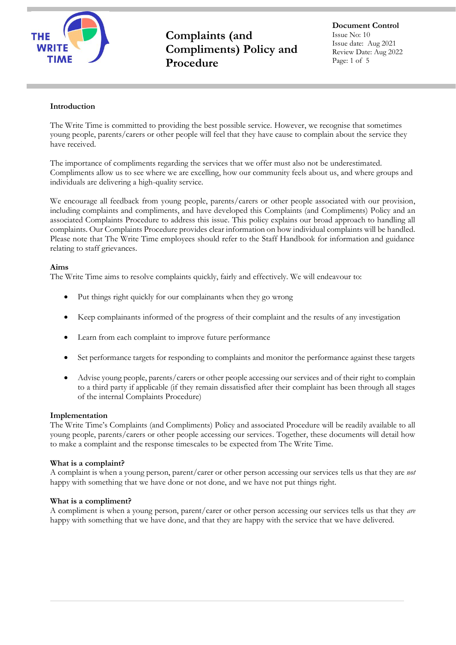

**Document Control** Issue No: 10 Issue date: Aug 2021 Review Date: Aug 2022 Page: 1 of 5

#### **Introduction**

The Write Time is committed to providing the best possible service. However, we recognise that sometimes young people, parents/carers or other people will feel that they have cause to complain about the service they have received.

The importance of compliments regarding the services that we offer must also not be underestimated. Compliments allow us to see where we are excelling, how our community feels about us, and where groups and individuals are delivering a high-quality service.

We encourage all feedback from young people, parents/carers or other people associated with our provision, including complaints and compliments, and have developed this Complaints (and Compliments) Policy and an associated Complaints Procedure to address this issue. This policy explains our broad approach to handling all complaints. Our Complaints Procedure provides clear information on how individual complaints will be handled. Please note that The Write Time employees should refer to the Staff Handbook for information and guidance relating to staff grievances.

#### **Aims**

The Write Time aims to resolve complaints quickly, fairly and effectively. We will endeavour to:

- Put things right quickly for our complainants when they go wrong
- Keep complainants informed of the progress of their complaint and the results of any investigation
- Learn from each complaint to improve future performance
- Set performance targets for responding to complaints and monitor the performance against these targets
- Advise young people, parents/carers or other people accessing our services and of their right to complain to a third party if applicable (if they remain dissatisfied after their complaint has been through all stages of the internal Complaints Procedure)

#### **Implementation**

The Write Time's Complaints (and Compliments) Policy and associated Procedure will be readily available to all young people, parents/carers or other people accessing our services. Together, these documents will detail how to make a complaint and the response timescales to be expected from The Write Time.

#### **What is a complaint?**

A complaint is when a young person, parent/carer or other person accessing our services tells us that they are *not* happy with something that we have done or not done, and we have not put things right.

#### **What is a compliment?**

A compliment is when a young person, parent/carer or other person accessing our services tells us that they *are*  happy with something that we have done, and that they are happy with the service that we have delivered.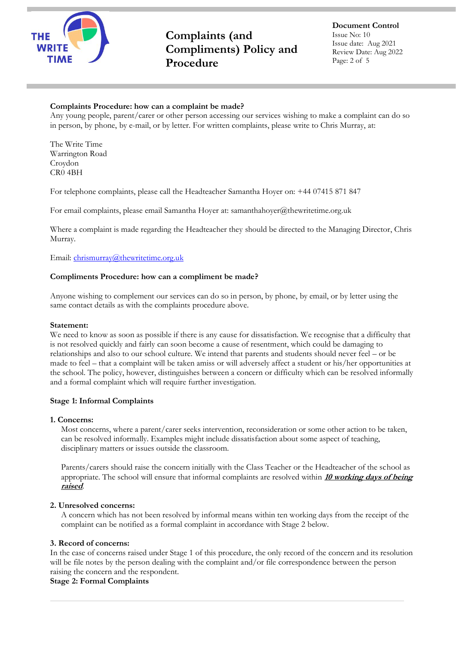

**Document Control** Issue No: 10 Issue date: Aug 2021 Review Date: Aug 2022 Page: 2 of 5

## **Complaints Procedure: how can a complaint be made?**

Any young people, parent/carer or other person accessing our services wishing to make a complaint can do so in person, by phone, by e-mail, or by letter. For written complaints, please write to Chris Murray, at:

The Write Time Warrington Road Croydon CR0 4BH

For telephone complaints, please call the Headteacher Samantha Hoyer on: +44 07415 871 847

For email complaints, please email Samantha Hoyer at: samanthahoyer@thewritetime.org.uk

Where a complaint is made regarding the Headteacher they should be directed to the Managing Director, Chris Murray.

Email: [chrismurray@thewritetime.org.uk](mailto:chrismurray@thewritetime.org.uk)

#### **Compliments Procedure: how can a compliment be made?**

Anyone wishing to complement our services can do so in person, by phone, by email, or by letter using the same contact details as with the complaints procedure above.

#### **Statement:**

We need to know as soon as possible if there is any cause for dissatisfaction. We recognise that a difficulty that is not resolved quickly and fairly can soon become a cause of resentment, which could be damaging to relationships and also to our school culture. We intend that parents and students should never feel – or be made to feel – that a complaint will be taken amiss or will adversely affect a student or his/her opportunities at the school. The policy, however, distinguishes between a concern or difficulty which can be resolved informally and a formal complaint which will require further investigation.

## **Stage 1: Informal Complaints**

#### **1. Concerns:**

Most concerns, where a parent/carer seeks intervention, reconsideration or some other action to be taken, can be resolved informally. Examples might include dissatisfaction about some aspect of teaching, disciplinary matters or issues outside the classroom.

Parents/carers should raise the concern initially with the Class Teacher or the Headteacher of the school as appropriate. The school will ensure that informal complaints are resolved within **10 working days of being raised**.

## **2. Unresolved concerns:**

A concern which has not been resolved by informal means within ten working days from the receipt of the complaint can be notified as a formal complaint in accordance with Stage 2 below.

## **3. Record of concerns:**

In the case of concerns raised under Stage 1 of this procedure, the only record of the concern and its resolution will be file notes by the person dealing with the complaint and/or file correspondence between the person raising the concern and the respondent.

## **Stage 2: Formal Complaints**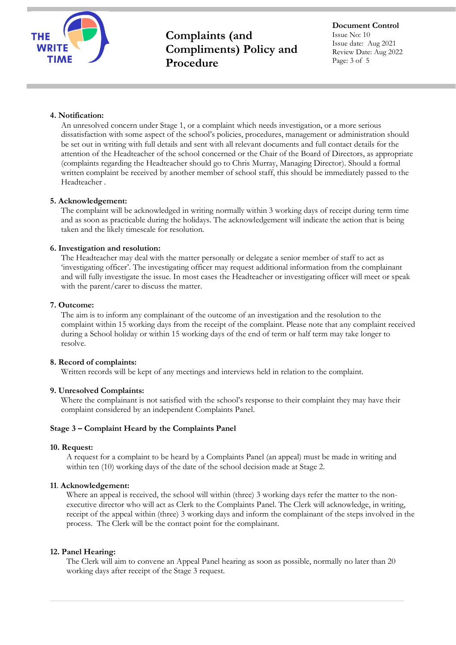

**Document Control** Issue No: 10 Issue date: Aug 2021 Review Date: Aug 2022 Page: 3 of 5

## **4. Notification:**

An unresolved concern under Stage 1, or a complaint which needs investigation, or a more serious dissatisfaction with some aspect of the school's policies, procedures, management or administration should be set out in writing with full details and sent with all relevant documents and full contact details for the attention of the Headteacher of the school concerned or the Chair of the Board of Directors, as appropriate (complaints regarding the Headteacher should go to Chris Murray, Managing Director). Should a formal written complaint be received by another member of school staff, this should be immediately passed to the Headteacher .

# **5. Acknowledgement:**

The complaint will be acknowledged in writing normally within 3 working days of receipt during term time and as soon as practicable during the holidays. The acknowledgement will indicate the action that is being taken and the likely timescale for resolution.

# **6. Investigation and resolution:**

The Headteacher may deal with the matter personally or delegate a senior member of staff to act as 'investigating officer'. The investigating officer may request additional information from the complainant and will fully investigate the issue. In most cases the Headteacher or investigating officer will meet or speak with the parent/carer to discuss the matter.

## **7. Outcome:**

The aim is to inform any complainant of the outcome of an investigation and the resolution to the complaint within 15 working days from the receipt of the complaint. Please note that any complaint received during a School holiday or within 15 working days of the end of term or half term may take longer to resolve.

## **8. Record of complaints:**

Written records will be kept of any meetings and interviews held in relation to the complaint.

## **9. Unresolved Complaints:**

Where the complainant is not satisfied with the school's response to their complaint they may have their complaint considered by an independent Complaints Panel.

## **Stage 3 – Complaint Heard by the Complaints Panel**

## **10. Request:**

A request for a complaint to be heard by a Complaints Panel (an appeal) must be made in writing and within ten (10) working days of the date of the school decision made at Stage 2.

## **11**. **Acknowledgement:**

Where an appeal is received, the school will within (three) 3 working days refer the matter to the nonexecutive director who will act as Clerk to the Complaints Panel. The Clerk will acknowledge, in writing, receipt of the appeal within (three) 3 working days and inform the complainant of the steps involved in the process. The Clerk will be the contact point for the complainant.

## **12. Panel Hearing:**

The Clerk will aim to convene an Appeal Panel hearing as soon as possible, normally no later than 20 working days after receipt of the Stage 3 request.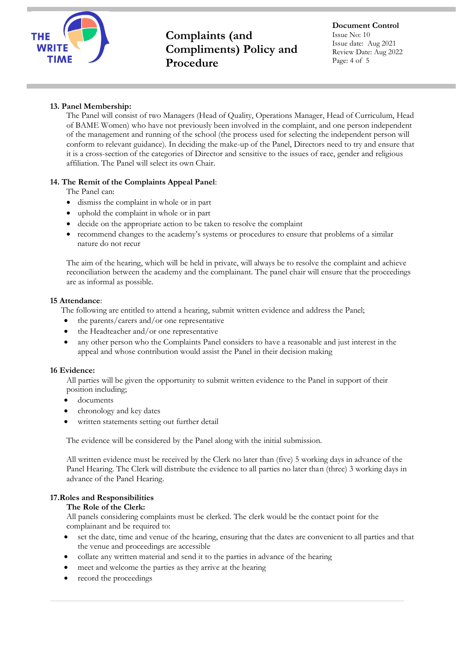

**Document Control** Issue No: 10 Issue date: Aug 2021 Review Date: Aug 2022 Page: 4 of 5

# **13. Panel Membership:**

The Panel will consist of two Managers (Head of Quality, Operations Manager, Head of Curriculum, Head of BAME Women) who have not previously been involved in the complaint, and one person independent of the management and running of the school (the process used for selecting the independent person will conform to relevant guidance). In deciding the make-up of the Panel, Directors need to try and ensure that it is a cross-section of the categories of Director and sensitive to the issues of race, gender and religious affiliation. The Panel will select its own Chair.

# **14. The Remit of the Complaints Appeal Panel**:

The Panel can:

- dismiss the complaint in whole or in part
- uphold the complaint in whole or in part
- decide on the appropriate action to be taken to resolve the complaint
- recommend changes to the academy's systems or procedures to ensure that problems of a similar nature do not recur

The aim of the hearing, which will be held in private, will always be to resolve the complaint and achieve reconciliation between the academy and the complainant. The panel chair will ensure that the proceedings are as informal as possible.

## **15 Attendance**:

The following are entitled to attend a hearing, submit written evidence and address the Panel;

- the parents/carers and/or one representative
- the Headteacher and/or one representative
- any other person who the Complaints Panel considers to have a reasonable and just interest in the appeal and whose contribution would assist the Panel in their decision making

## **16 Evidence:**

All parties will be given the opportunity to submit written evidence to the Panel in support of their position including;

- documents
- chronology and key dates
- written statements setting out further detail

The evidence will be considered by the Panel along with the initial submission.

All written evidence must be received by the Clerk no later than (five) 5 working days in advance of the Panel Hearing. The Clerk will distribute the evidence to all parties no later than (three) 3 working days in advance of the Panel Hearing.

## **17.Roles and Responsibilities**

## **The Role of the Clerk:**

All panels considering complaints must be clerked. The clerk would be the contact point for the complainant and be required to:

- set the date, time and venue of the hearing, ensuring that the dates are convenient to all parties and that the venue and proceedings are accessible
- collate any written material and send it to the parties in advance of the hearing
- meet and welcome the parties as they arrive at the hearing
- record the proceedings